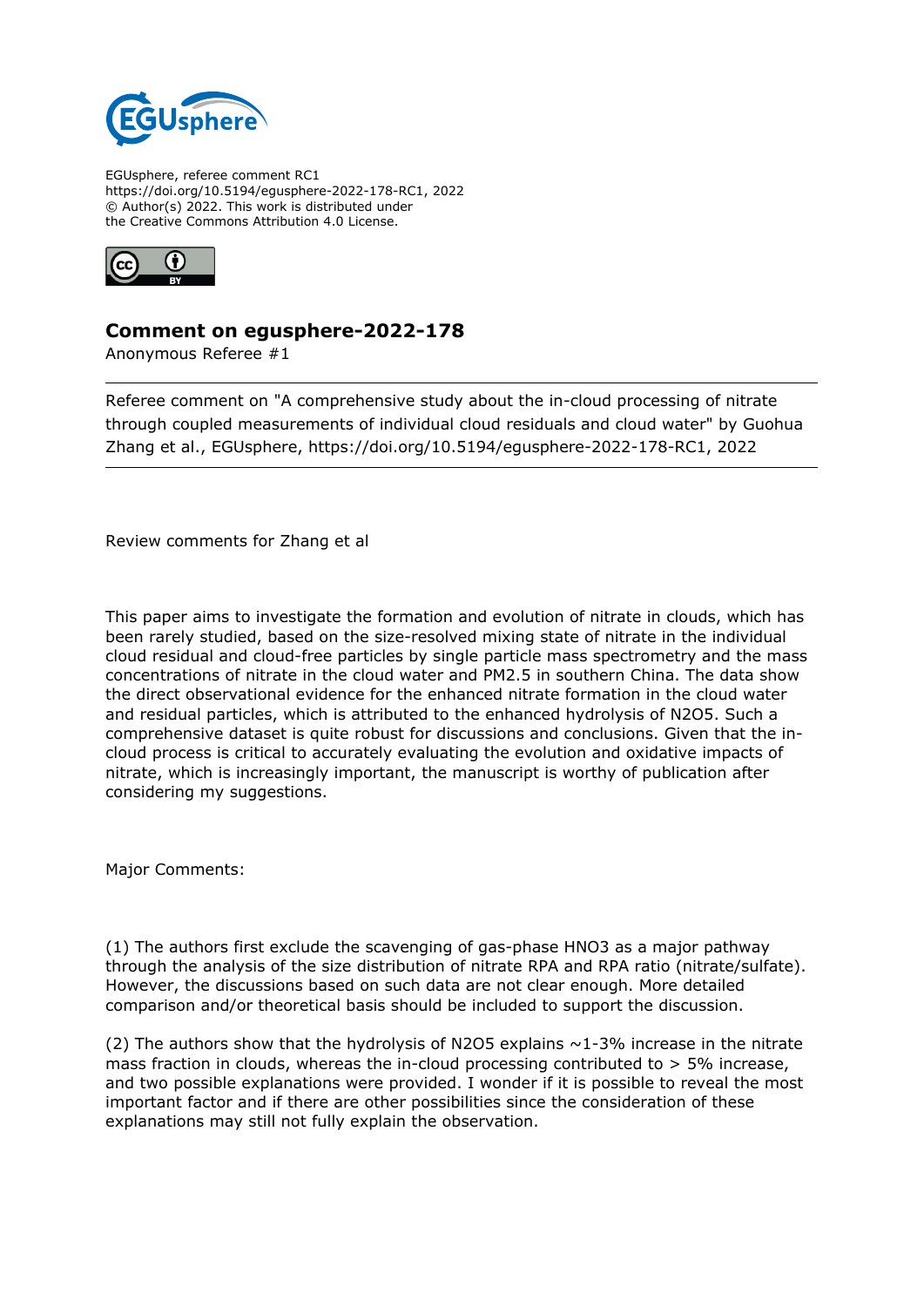

EGUsphere, referee comment RC1 https://doi.org/10.5194/egusphere-2022-178-RC1, 2022 © Author(s) 2022. This work is distributed under the Creative Commons Attribution 4.0 License.



## **Comment on egusphere-2022-178**

Anonymous Referee #1

Referee comment on "A comprehensive study about the in-cloud processing of nitrate through coupled measurements of individual cloud residuals and cloud water" by Guohua Zhang et al., EGUsphere, https://doi.org/10.5194/egusphere-2022-178-RC1, 2022

Review comments for Zhang et al

This paper aims to investigate the formation and evolution of nitrate in clouds, which has been rarely studied, based on the size-resolved mixing state of nitrate in the individual cloud residual and cloud-free particles by single particle mass spectrometry and the mass concentrations of nitrate in the cloud water and PM2.5 in southern China. The data show the direct observational evidence for the enhanced nitrate formation in the cloud water and residual particles, which is attributed to the enhanced hydrolysis of N2O5. Such a comprehensive dataset is quite robust for discussions and conclusions. Given that the incloud process is critical to accurately evaluating the evolution and oxidative impacts of nitrate, which is increasingly important, the manuscript is worthy of publication after considering my suggestions.

Major Comments:

(1) The authors first exclude the scavenging of gas-phase HNO3 as a major pathway through the analysis of the size distribution of nitrate RPA and RPA ratio (nitrate/sulfate). However, the discussions based on such data are not clear enough. More detailed comparison and/or theoretical basis should be included to support the discussion.

(2) The authors show that the hydrolysis of N2O5 explains  $\sim$  1-3% increase in the nitrate mass fraction in clouds, whereas the in-cloud processing contributed to  $>$  5% increase, and two possible explanations were provided. I wonder if it is possible to reveal the most important factor and if there are other possibilities since the consideration of these explanations may still not fully explain the observation.